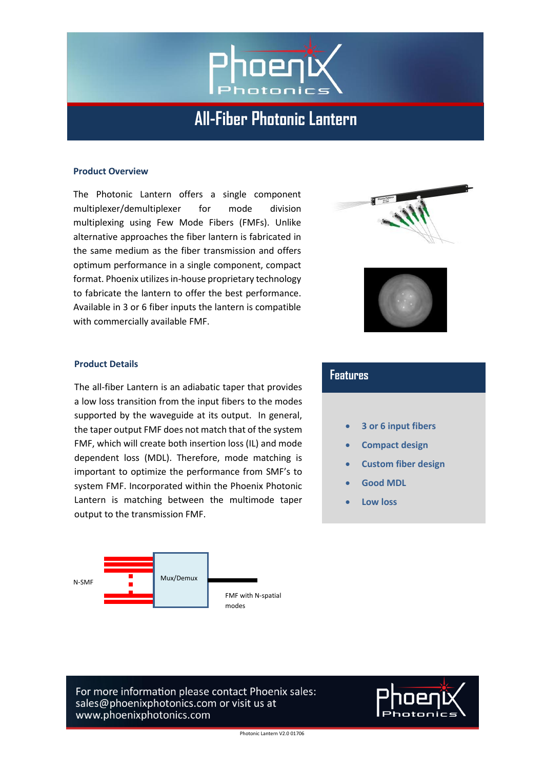

## **All-Fiber Photonic Lantern**

## **Product Overview**

The Photonic Lantern offers a single component multiplexer/demultiplexer for mode division multiplexing using Few Mode Fibers (FMFs). Unlike alternative approaches the fiber lantern is fabricated in the same medium as the fiber transmission and offers optimum performance in a single component, compact format. Phoenix utilizes in-house proprietary technology to fabricate the lantern to offer the best performance. Available in 3 or 6 fiber inputs the lantern is compatible with commercially available FMF.





### **Product Details**

The all-fiber Lantern is an adiabatic taper that provides a low loss transition from the input fibers to the modes supported by the waveguide at its output. In general, the taper output FMF does not match that of the system FMF, which will create both insertion loss (IL) and mode dependent loss (MDL). Therefore, mode matching is important to optimize the performance from SMF's to system FMF. Incorporated within the Phoenix Photonic Lantern is matching between the multimode taper output to the transmission FMF.



## **Features**

- **3 or 6 input fibers**
- **Compact design**
- **Custom fiber design**
- **Good MDL**
- **Low loss**

For more information please contact Phoenix sales: sales@phoenixphotonics.com or visit us at www.phoenixphotonics.com